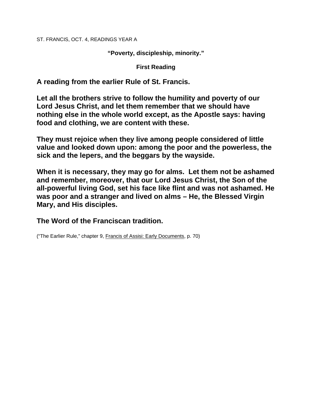ST. FRANCIS, OCT. 4, READINGS YEAR A

**"Poverty, discipleship, minority."** 

**First Reading** 

**A reading from the earlier Rule of St. Francis.** 

**Let all the brothers strive to follow the humility and poverty of our Lord Jesus Christ, and let them remember that we should have nothing else in the whole world except, as the Apostle says: having food and clothing, we are content with these.** 

**They must rejoice when they live among people considered of little value and looked down upon: among the poor and the powerless, the sick and the lepers, and the beggars by the wayside.** 

**When it is necessary, they may go for alms. Let them not be ashamed and remember, moreover, that our Lord Jesus Christ, the Son of the all-powerful living God, set his face like flint and was not ashamed. He was poor and a stranger and lived on alms – He, the Blessed Virgin Mary, and His disciples.** 

**The Word of the Franciscan tradition.** 

("The Earlier Rule," chapter 9, Francis of Assisi: Early Documents, p. 70)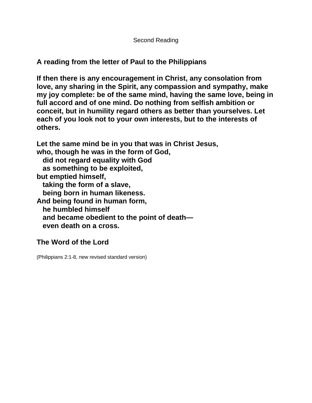## **A reading from the letter of Paul to the Philippians**

**If then there is any encouragement in Christ, any consolation from love, any sharing in the Spirit, any compassion and sympathy, make my joy complete: be of the same mind, having the same love, being in full accord and of one mind. Do nothing from selfish ambition or conceit, but in humility regard others as better than yourselves. Let each of you look not to your own interests, but to the interests of others.** 

**Let the same mind be in you that was in Christ Jesus, who, though he was in the form of God, did not regard equality with God as something to be exploited, but emptied himself, taking the form of a slave, being born in human likeness. And being found in human form, he humbled himself and became obedient to the point of death even death on a cross.** 

## **The Word of the Lord**

(Philippians 2:1-8, new revised standard version)